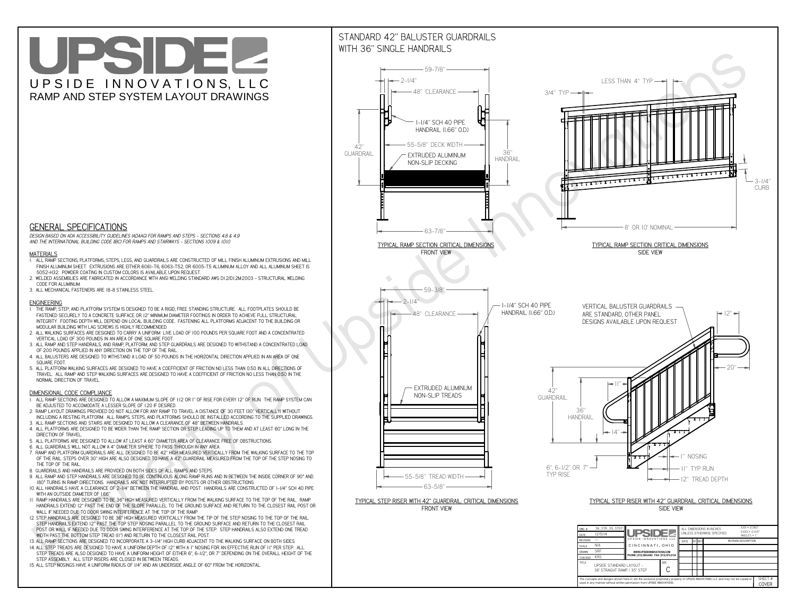**used in any manner without written permission from UPSIDE INNOVATIONS.**

# UPSIDEL UPSIDE INNOVATIONS, LLC RAMP AND STEP SYSTEM LAYOUT DRAWINGS

SHEET #**COVER**

## STANDARD 42" BALUSTER GUARDRAILSWITH 36" SINGLE HANDRAILS



The concepts and designs shown here-in are the exclusive proprietary property of UPSIDE INNOVATIONS LLC. and may not be copied o



 *DESIGN BASED ON ADA ACCESSIBILITY GUIDELINES (ADAAG) FOR RAMPS AND STEPS - SECTIONS 4.8 & 4.9AND THE INTERNATIONAL BUILDING CODE (IBC) FOR RAMPS AND STAIRWAYS - SECTIONS 1009 & 1010*

#### **MATERIALS**

- **1. ALL RAMP SECTIONS, PLATFORMS, STEPS, LEGS, AND GUARDRAILS ARE CONSTRUCTED OF MILL FINISH ALUMINUM EXTRUSIONS AND MILL FINISH ALUMINUM SHEET. EXTRUSIONS ARE EITHER 6061-T6, 6063-T52, OR 6005-T5 ALUMINUM ALLOY AND ALL ALUMINUM SHEET IS 5052-H32. POWDER COATING IN CUSTOM COLORS IS AVAILABLE UPON REQUEST.**
- **2. WELDED ASSEMBLIES ARE FABRICATED IN ACCORDANCE WITH ANSI WELDING STANDARD AWS D1.2/D1.2M:2003 STRUCTURAL WELDING CODE FOR ALUMINUM.**
- **3. ALL MECHANICAL FASTENERS ARE 18-8 STAINLESS STEEL.**

#### **ENGINEERING**

- **1. THE RAMP, STEP, AND PLATFORM SYSTEM IS DESIGNED TO BE A RIGID, FREE STANDING STRUCTURE. ALL FOOTPLATES SHOULD BE FASTENED SECURELY TO A CONCRETE SURFACE OR 12" MINIMUM DIAMETER FOOTINGS IN ORDER TO ACHIEVE FULL STRUCTURAL INTEGRITY. FOOTING DEPTH WILL DEPEND ON LOCAL BUILDING CODE. FASTENING ALL PLATFORMS ADJACENT TO THE BUILDING OR MODULAR BUILDING WITH LAG SCREWS IS HIGHLY RECOMMENDED.**
- **2. ALL WALKING SURFACES ARE DESIGNED TO CARRY A UNIFORM LIVE LOAD OF 100 POUNDS PER SQUARE FOOT AND A CONCENTRATED VERTICAL LOAD OF 300 POUNDS IN AN AREA OF ONE SQUARE FOOT.**
- **3. ALL RAMP AND STEP HANDRAILS, AND RAMP, PLATFORM, AND STEP GUARDRAILS ARE DESIGNED TO WITHSTAND A CONCENTRATED LOAD OF 200 POUNDS APPLIED IN ANY DIRECTION ON THE TOP OF THE RAIL.**
- **4. ALL BALUSTERS ARE DESIGNED TO WITHSTAND A LOAD OF 50 POUNDS IN THE HORIZONTAL DIRECTION APPLIED IN AN AREA OF ONE SQUARE FOOT.**
- **5. ALL PLATFORM WALKING SURFACES ARE DESIGNED TO HAVE A COEFFICIENT OF FRICTION NO LESS THAN 0.50 IN ALL DIRECTIONS OF TRAVEL. ALL RAMP AND STEP WALKING SURFACES ARE DESIGNED TO HAVE A COEFFICIENT OF FRICTION NO LESS THAN 0.50 IN THE NORMAL DIRECTION OF TRAVEL.**

### **DIMENSIONAL CODE COMPLIANCE**

- **1. ALL RAMP SECTIONS ARE DESIGNED TO ALLOW A MAXIMUM SLOPE OF 1:12 OR 1" OF RISE FOR EVERY 12" OF RUN. THE RAMP SYSTEM CAN BE ADJUSTED TO ACCOMODATE A LESSER SLOPE OF 1:20 IF DESIRED.**
- **2. RAMP LAYOUT DRAWINGS PROVIDED DO NOT ALLOW FOR ANY RAMP TO TRAVEL A DISTANCE OF 30 FEET (30" VERTICALLY) WITHOUT INCLUDING A RESTING PLATFORM. ALL RAMPS, STEPS, AND PLATFORMS SHOULD BE INSTALLED ACCORDING TO THE SUPPLIED DRAWINGS.**
- **3. ALL RAMP SECTIONS AND STAIRS ARE DESIGNED TO ALLOW A CLEARANCE OF 48" BETWEEN HANDRAILS.**
- **4. ALL PLATFORMS ARE DESIGNED TO BE WIDER THAN THE RAMP SECTION OR STEP LEADING UP TO THEM AND AT LEAST 60" LONG IN THE DIRECTION OF TRAVEL.**
- **5. ALL PLATFORMS ARE DESIGNED TO ALLOW AT LEAST A 60" DIAMETER AREA OF CLEARANCE FREE OF OBSTRUCTIONS.**
- **6. ALL GUARDRAILS WILL NOT ALLOW A 4" DIAMETER SPHERE TO PASS THROUGH IN ANY AREA.**
- **7. RAMP AND PLATFORM GUARDRAILS ARE ALL DESIGNED TO BE 42" HIGH MEASURED VERTICALLY FROM THE WALKING SURFACE TO THE TOP OF THE RAIL. STEPS OVER 30" HIGH ARE ALSO DESIGNED TO HAVE A 42" GUARDRAIL MEASURED FROM THE TOP OF THE STEP NOSING TO THE TOP OF THE RAIL.**
- **8. GUARDRAILS AND HANDRAILS ARE PROVIDED ON BOTH SIDES OF ALL RAMPS AND STEPS.**
- **9. ALL RAMP AND STEP HANDRAILS ARE DESIGNED TO BE CONTINUOUS ALONG RAMP RUNS AND IN BETWEEN THE INSIDE CORNER OF 90° AND 180° TURNS IN RAMP DIRECTIONS. HANDRAILS ARE NOT INTERRUPTED BY POSTS OR OTHER OBSTRUCTIONS.**
- **10. ALL HANDRAILS HAVE A CLEARANCE OF 2-1/4" BETWEEN THE HANDRAIL AND POST. HANDRAILS ARE CONSTRUCTED OF 1-1/4" SCH 40 PIPE WITH AN OUTSIDE DIAMETER OF 1.66"**
- **11. RAMP HANDRAILS ARE DESIGNED TO BE 36" HIGH MEASURED VERTICALLY FROM THE WALKING SURFACE TO THE TOP OF THE RAIL. RAMP HANDRAILS EXTEND 12" PAST THE END OF THE SLOPE PARALLEL TO THE GROUND SURFACE AND RETURN TO THE CLOSEST RAIL POST OR WALL IF NEEDED DUE TO DOOR SWING INTERFERENCE AT THE TOP OF THE RAMP.**
- **12. STEP HANDRAILS ARE DESIGNED TO BE 36" HIGH MEASURED VERTICALLY FROM THE TIP OF THE STEP NOSING TO THE TOP OF THE RAIL. STEP HANDRAILS EXTEND 12" PAST THE TOP STEP NOSING PARALLEL TO THE GROUND SURFACE AND RETURN TO THE CLOSEST RAIL POST OR WALL IF NEEDED DUE TO DOOR SWING INTERFERENCE AT THE TOP OF THE STEP. STEP HANDRAILS ALSO EXTEND ONE TREAD WIDTH PAST THE BOTTOM STEP TREAD (11") AND RETURN TO THE CLOSEST RAIL POST.**
- **13. ALL RAMP SECTIONS ARE DESIGNED TO INCORPORATE A 3-1/4" HIGH CURB ADJACENT TO THE WALKING SURFACE ON BOTH SIDES.**
- **14. ALL STEP TREADS ARE DESIGNED TO HAVE A UNIFORM DEPTH OF 12" WITH A 1" NOSING FOR AN EFFECTIVE RUN OF 11" PER STEP. ALL**
- **STEP TREADS ARE ALSO DESIGNED TO HAVE A UNIFORM HEIGHT OF EITHER 6", 6-1/2", OR 7" DEPENDING ON THE OVERALL HEIGHT OF THE STEP ASSEMBLY. ALL STEP RISERS ARE CLOSED IN BETWEEN TREADS.**
- **15. ALL STEP NOSINGS HAVE A UNIFORM RADIUS OF 1/4" AND AN UNDERSIDE ANGLE OF 60° FROM THE HORIZONTAL.**